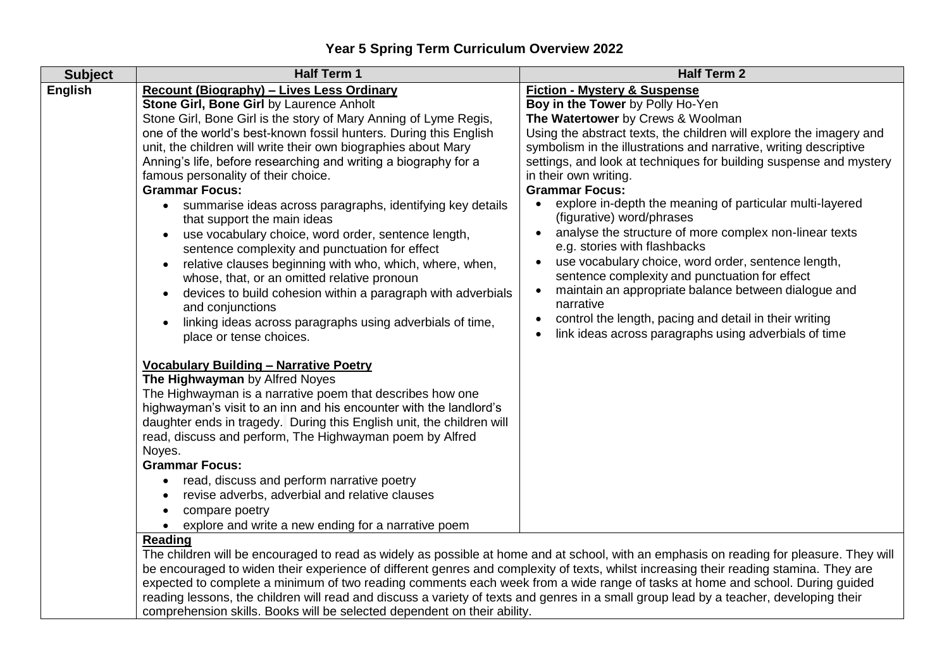| <b>Subject</b> | <b>Half Term 1</b>                                                                                                                                                                                                                                                      | <b>Half Term 2</b>                                                                    |
|----------------|-------------------------------------------------------------------------------------------------------------------------------------------------------------------------------------------------------------------------------------------------------------------------|---------------------------------------------------------------------------------------|
| English        | <b>Recount (Biography) - Lives Less Ordinary</b>                                                                                                                                                                                                                        | <b>Fiction - Mystery &amp; Suspense</b>                                               |
|                | Stone Girl, Bone Girl by Laurence Anholt                                                                                                                                                                                                                                | Boy in the Tower by Polly Ho-Yen                                                      |
|                | Stone Girl, Bone Girl is the story of Mary Anning of Lyme Regis,                                                                                                                                                                                                        | The Watertower by Crews & Woolman                                                     |
|                | one of the world's best-known fossil hunters. During this English                                                                                                                                                                                                       | Using the abstract texts, the children will explore the imagery and                   |
|                | unit, the children will write their own biographies about Mary                                                                                                                                                                                                          | symbolism in the illustrations and narrative, writing descriptive                     |
|                | Anning's life, before researching and writing a biography for a                                                                                                                                                                                                         | settings, and look at techniques for building suspense and mystery                    |
|                | famous personality of their choice.                                                                                                                                                                                                                                     | in their own writing.                                                                 |
|                | <b>Grammar Focus:</b>                                                                                                                                                                                                                                                   | <b>Grammar Focus:</b>                                                                 |
|                | summarise ideas across paragraphs, identifying key details<br>that support the main ideas                                                                                                                                                                               | explore in-depth the meaning of particular multi-layered<br>(figurative) word/phrases |
|                | use vocabulary choice, word order, sentence length,                                                                                                                                                                                                                     | analyse the structure of more complex non-linear texts                                |
|                | sentence complexity and punctuation for effect                                                                                                                                                                                                                          | e.g. stories with flashbacks                                                          |
|                | relative clauses beginning with who, which, where, when,<br>$\bullet$                                                                                                                                                                                                   | use vocabulary choice, word order, sentence length,                                   |
|                | whose, that, or an omitted relative pronoun                                                                                                                                                                                                                             | sentence complexity and punctuation for effect                                        |
|                | devices to build cohesion within a paragraph with adverbials<br>$\bullet$                                                                                                                                                                                               | maintain an appropriate balance between dialogue and                                  |
|                | and conjunctions                                                                                                                                                                                                                                                        | narrative                                                                             |
|                | linking ideas across paragraphs using adverbials of time,<br>$\bullet$                                                                                                                                                                                                  | control the length, pacing and detail in their writing                                |
|                | place or tense choices.                                                                                                                                                                                                                                                 | link ideas across paragraphs using adverbials of time                                 |
|                |                                                                                                                                                                                                                                                                         |                                                                                       |
|                | <b>Vocabulary Building - Narrative Poetry</b>                                                                                                                                                                                                                           |                                                                                       |
|                | The Highwayman by Alfred Noyes                                                                                                                                                                                                                                          |                                                                                       |
|                | The Highwayman is a narrative poem that describes how one                                                                                                                                                                                                               |                                                                                       |
|                | highwayman's visit to an inn and his encounter with the landlord's                                                                                                                                                                                                      |                                                                                       |
|                | daughter ends in tragedy. During this English unit, the children will                                                                                                                                                                                                   |                                                                                       |
|                | read, discuss and perform, The Highwayman poem by Alfred                                                                                                                                                                                                                |                                                                                       |
|                | Noyes.                                                                                                                                                                                                                                                                  |                                                                                       |
|                | <b>Grammar Focus:</b>                                                                                                                                                                                                                                                   |                                                                                       |
|                | read, discuss and perform narrative poetry                                                                                                                                                                                                                              |                                                                                       |
|                | revise adverbs, adverbial and relative clauses                                                                                                                                                                                                                          |                                                                                       |
|                | compare poetry                                                                                                                                                                                                                                                          |                                                                                       |
|                | • explore and write a new ending for a narrative poem                                                                                                                                                                                                                   |                                                                                       |
|                | <b>Reading</b>                                                                                                                                                                                                                                                          |                                                                                       |
|                | The children will be encouraged to read as widely as possible at home and at school, with an emphasis on reading for pleasure. They will                                                                                                                                |                                                                                       |
|                | be encouraged to widen their experience of different genres and complexity of texts, whilst increasing their reading stamina. They are<br>expected to complete a minimum of two reading comments each week from a wide range of tasks at home and school. During guided |                                                                                       |
|                | reading lessons, the children will read and discuss a variety of texts and genres in a small group lead by a teacher, developing their                                                                                                                                  |                                                                                       |
|                | comprehension skills. Books will be selected dependent on their ability.                                                                                                                                                                                                |                                                                                       |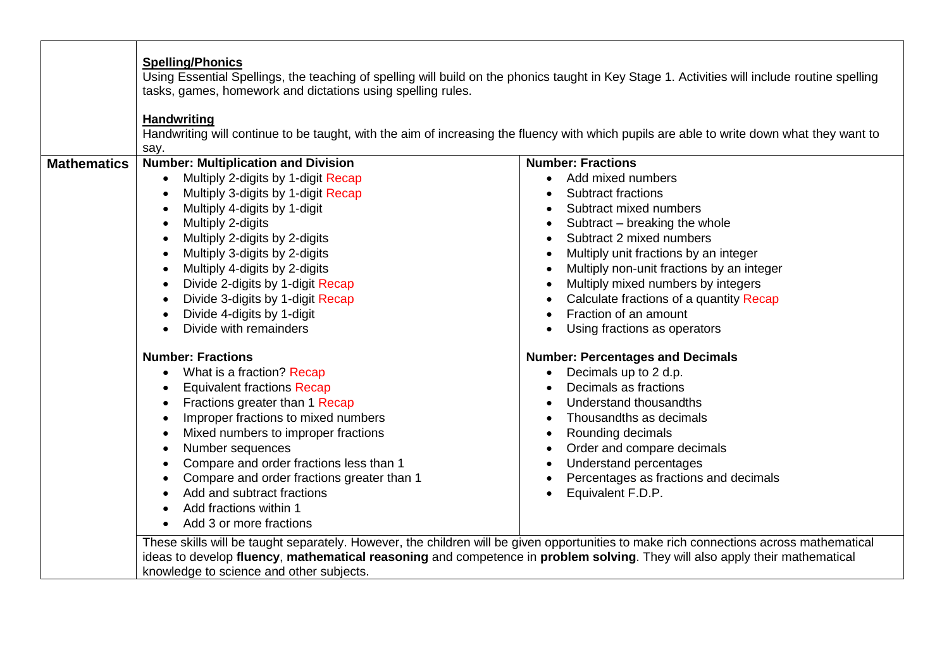|                    | tasks, games, homework and dictations using spelling rules.<br><b>Handwriting</b>                                                                                                                                                                                                                                                                                                |                                                                                                                                                                                                                                                                                                                 |  |
|--------------------|----------------------------------------------------------------------------------------------------------------------------------------------------------------------------------------------------------------------------------------------------------------------------------------------------------------------------------------------------------------------------------|-----------------------------------------------------------------------------------------------------------------------------------------------------------------------------------------------------------------------------------------------------------------------------------------------------------------|--|
|                    | Handwriting will continue to be taught, with the aim of increasing the fluency with which pupils are able to write down what they want to                                                                                                                                                                                                                                        |                                                                                                                                                                                                                                                                                                                 |  |
| <b>Mathematics</b> | say.<br><b>Number: Multiplication and Division</b>                                                                                                                                                                                                                                                                                                                               | <b>Number: Fractions</b>                                                                                                                                                                                                                                                                                        |  |
|                    | Multiply 2-digits by 1-digit Recap<br>Multiply 3-digits by 1-digit Recap                                                                                                                                                                                                                                                                                                         | Add mixed numbers<br><b>Subtract fractions</b>                                                                                                                                                                                                                                                                  |  |
|                    | Multiply 4-digits by 1-digit<br>Multiply 2-digits<br>Multiply 2-digits by 2-digits                                                                                                                                                                                                                                                                                               | Subtract mixed numbers<br>Subtract - breaking the whole<br>Subtract 2 mixed numbers                                                                                                                                                                                                                             |  |
|                    | Multiply 3-digits by 2-digits<br>Multiply 4-digits by 2-digits                                                                                                                                                                                                                                                                                                                   | Multiply unit fractions by an integer<br>Multiply non-unit fractions by an integer<br>$\bullet$                                                                                                                                                                                                                 |  |
|                    | Divide 2-digits by 1-digit Recap<br>Divide 3-digits by 1-digit Recap                                                                                                                                                                                                                                                                                                             | Multiply mixed numbers by integers<br>$\bullet$<br>Calculate fractions of a quantity Recap                                                                                                                                                                                                                      |  |
|                    | Divide 4-digits by 1-digit<br>Divide with remainders<br>$\bullet$                                                                                                                                                                                                                                                                                                                | Fraction of an amount<br>$\bullet$<br>Using fractions as operators                                                                                                                                                                                                                                              |  |
|                    | <b>Number: Fractions</b>                                                                                                                                                                                                                                                                                                                                                         | <b>Number: Percentages and Decimals</b>                                                                                                                                                                                                                                                                         |  |
|                    | • What is a fraction? Recap<br><b>Equivalent fractions Recap</b><br>Fractions greater than 1 Recap<br>Improper fractions to mixed numbers<br>Mixed numbers to improper fractions<br>Number sequences<br>Compare and order fractions less than 1<br>Compare and order fractions greater than 1<br>Add and subtract fractions<br>Add fractions within 1<br>Add 3 or more fractions | Decimals up to 2 d.p.<br>$\bullet$<br>Decimals as fractions<br>Understand thousandths<br>Thousandths as decimals<br>Rounding decimals<br>$\bullet$<br>Order and compare decimals<br>Understand percentages<br>$\bullet$<br>Percentages as fractions and decimals<br>$\bullet$<br>Equivalent F.D.P.<br>$\bullet$ |  |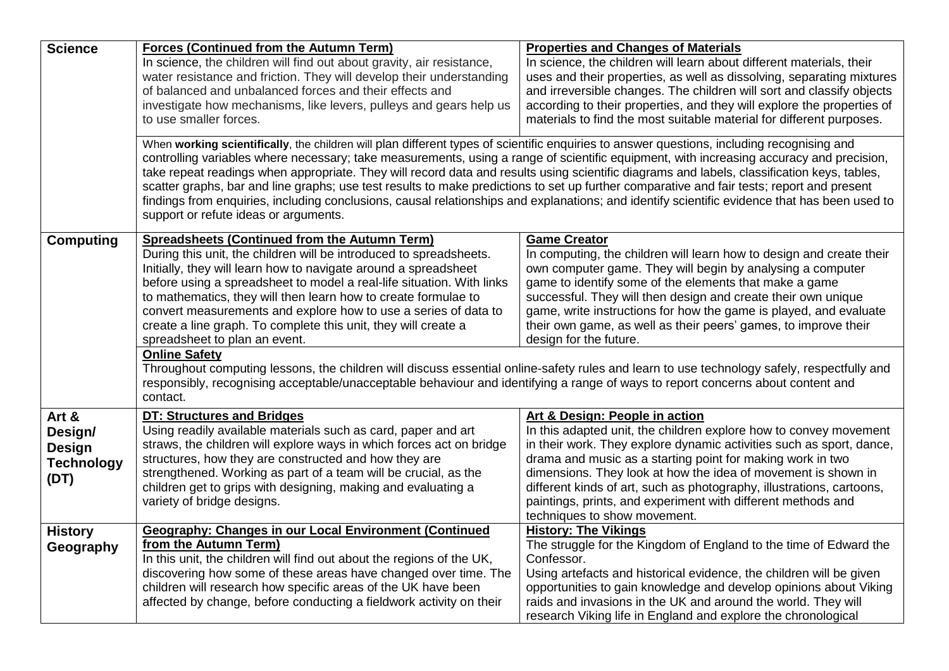| <b>Science</b>    | <b>Forces (Continued from the Autumn Term)</b>                                                                                                                                                                                                                                                                                                                                                                                                                                                                                                                                                                                                                                                                                                                                | <b>Properties and Changes of Materials</b>                                                                                         |
|-------------------|-------------------------------------------------------------------------------------------------------------------------------------------------------------------------------------------------------------------------------------------------------------------------------------------------------------------------------------------------------------------------------------------------------------------------------------------------------------------------------------------------------------------------------------------------------------------------------------------------------------------------------------------------------------------------------------------------------------------------------------------------------------------------------|------------------------------------------------------------------------------------------------------------------------------------|
|                   | In science, the children will find out about gravity, air resistance,                                                                                                                                                                                                                                                                                                                                                                                                                                                                                                                                                                                                                                                                                                         | In science, the children will learn about different materials, their                                                               |
|                   | water resistance and friction. They will develop their understanding                                                                                                                                                                                                                                                                                                                                                                                                                                                                                                                                                                                                                                                                                                          | uses and their properties, as well as dissolving, separating mixtures                                                              |
|                   | of balanced and unbalanced forces and their effects and                                                                                                                                                                                                                                                                                                                                                                                                                                                                                                                                                                                                                                                                                                                       | and irreversible changes. The children will sort and classify objects                                                              |
|                   | investigate how mechanisms, like levers, pulleys and gears help us                                                                                                                                                                                                                                                                                                                                                                                                                                                                                                                                                                                                                                                                                                            | according to their properties, and they will explore the properties of                                                             |
|                   | to use smaller forces.                                                                                                                                                                                                                                                                                                                                                                                                                                                                                                                                                                                                                                                                                                                                                        | materials to find the most suitable material for different purposes.                                                               |
|                   | When working scientifically, the children will plan different types of scientific enquiries to answer questions, including recognising and<br>controlling variables where necessary; take measurements, using a range of scientific equipment, with increasing accuracy and precision,<br>take repeat readings when appropriate. They will record data and results using scientific diagrams and labels, classification keys, tables,<br>scatter graphs, bar and line graphs; use test results to make predictions to set up further comparative and fair tests; report and present<br>findings from enquiries, including conclusions, causal relationships and explanations; and identify scientific evidence that has been used to<br>support or refute ideas or arguments. |                                                                                                                                    |
| <b>Computing</b>  | <b>Spreadsheets (Continued from the Autumn Term)</b>                                                                                                                                                                                                                                                                                                                                                                                                                                                                                                                                                                                                                                                                                                                          | <b>Game Creator</b>                                                                                                                |
|                   | During this unit, the children will be introduced to spreadsheets.                                                                                                                                                                                                                                                                                                                                                                                                                                                                                                                                                                                                                                                                                                            | In computing, the children will learn how to design and create their                                                               |
|                   | Initially, they will learn how to navigate around a spreadsheet                                                                                                                                                                                                                                                                                                                                                                                                                                                                                                                                                                                                                                                                                                               | own computer game. They will begin by analysing a computer                                                                         |
|                   | before using a spreadsheet to model a real-life situation. With links                                                                                                                                                                                                                                                                                                                                                                                                                                                                                                                                                                                                                                                                                                         | game to identify some of the elements that make a game                                                                             |
|                   | to mathematics, they will then learn how to create formulae to<br>convert measurements and explore how to use a series of data to                                                                                                                                                                                                                                                                                                                                                                                                                                                                                                                                                                                                                                             | successful. They will then design and create their own unique<br>game, write instructions for how the game is played, and evaluate |
|                   | create a line graph. To complete this unit, they will create a                                                                                                                                                                                                                                                                                                                                                                                                                                                                                                                                                                                                                                                                                                                | their own game, as well as their peers' games, to improve their                                                                    |
|                   | spreadsheet to plan an event.                                                                                                                                                                                                                                                                                                                                                                                                                                                                                                                                                                                                                                                                                                                                                 | design for the future.                                                                                                             |
|                   | <b>Online Safety</b>                                                                                                                                                                                                                                                                                                                                                                                                                                                                                                                                                                                                                                                                                                                                                          |                                                                                                                                    |
|                   | Throughout computing lessons, the children will discuss essential online-safety rules and learn to use technology safely, respectfully and                                                                                                                                                                                                                                                                                                                                                                                                                                                                                                                                                                                                                                    |                                                                                                                                    |
|                   | responsibly, recognising acceptable/unacceptable behaviour and identifying a range of ways to report concerns about content and                                                                                                                                                                                                                                                                                                                                                                                                                                                                                                                                                                                                                                               |                                                                                                                                    |
|                   | contact.                                                                                                                                                                                                                                                                                                                                                                                                                                                                                                                                                                                                                                                                                                                                                                      |                                                                                                                                    |
| Art &             | <b>DT: Structures and Bridges</b>                                                                                                                                                                                                                                                                                                                                                                                                                                                                                                                                                                                                                                                                                                                                             | Art & Design: People in action                                                                                                     |
| Design/           | Using readily available materials such as card, paper and art                                                                                                                                                                                                                                                                                                                                                                                                                                                                                                                                                                                                                                                                                                                 | In this adapted unit, the children explore how to convey movement                                                                  |
| <b>Design</b>     | straws, the children will explore ways in which forces act on bridge                                                                                                                                                                                                                                                                                                                                                                                                                                                                                                                                                                                                                                                                                                          | in their work. They explore dynamic activities such as sport, dance,                                                               |
| <b>Technology</b> | structures, how they are constructed and how they are                                                                                                                                                                                                                                                                                                                                                                                                                                                                                                                                                                                                                                                                                                                         | drama and music as a starting point for making work in two                                                                         |
| (DT)              | strengthened. Working as part of a team will be crucial, as the                                                                                                                                                                                                                                                                                                                                                                                                                                                                                                                                                                                                                                                                                                               | dimensions. They look at how the idea of movement is shown in                                                                      |
|                   | children get to grips with designing, making and evaluating a                                                                                                                                                                                                                                                                                                                                                                                                                                                                                                                                                                                                                                                                                                                 | different kinds of art, such as photography, illustrations, cartoons,                                                              |
|                   | variety of bridge designs.                                                                                                                                                                                                                                                                                                                                                                                                                                                                                                                                                                                                                                                                                                                                                    | paintings, prints, and experiment with different methods and<br>techniques to show movement.                                       |
| <b>History</b>    | <b>Geography: Changes in our Local Environment (Continued</b>                                                                                                                                                                                                                                                                                                                                                                                                                                                                                                                                                                                                                                                                                                                 | <b>History: The Vikings</b>                                                                                                        |
| Geography         | from the Autumn Term)                                                                                                                                                                                                                                                                                                                                                                                                                                                                                                                                                                                                                                                                                                                                                         | The struggle for the Kingdom of England to the time of Edward the                                                                  |
|                   | In this unit, the children will find out about the regions of the UK,                                                                                                                                                                                                                                                                                                                                                                                                                                                                                                                                                                                                                                                                                                         | Confessor.                                                                                                                         |
|                   | discovering how some of these areas have changed over time. The                                                                                                                                                                                                                                                                                                                                                                                                                                                                                                                                                                                                                                                                                                               | Using artefacts and historical evidence, the children will be given                                                                |
|                   | children will research how specific areas of the UK have been                                                                                                                                                                                                                                                                                                                                                                                                                                                                                                                                                                                                                                                                                                                 | opportunities to gain knowledge and develop opinions about Viking                                                                  |
|                   | affected by change, before conducting a fieldwork activity on their                                                                                                                                                                                                                                                                                                                                                                                                                                                                                                                                                                                                                                                                                                           | raids and invasions in the UK and around the world. They will                                                                      |
|                   |                                                                                                                                                                                                                                                                                                                                                                                                                                                                                                                                                                                                                                                                                                                                                                               | research Viking life in England and explore the chronological                                                                      |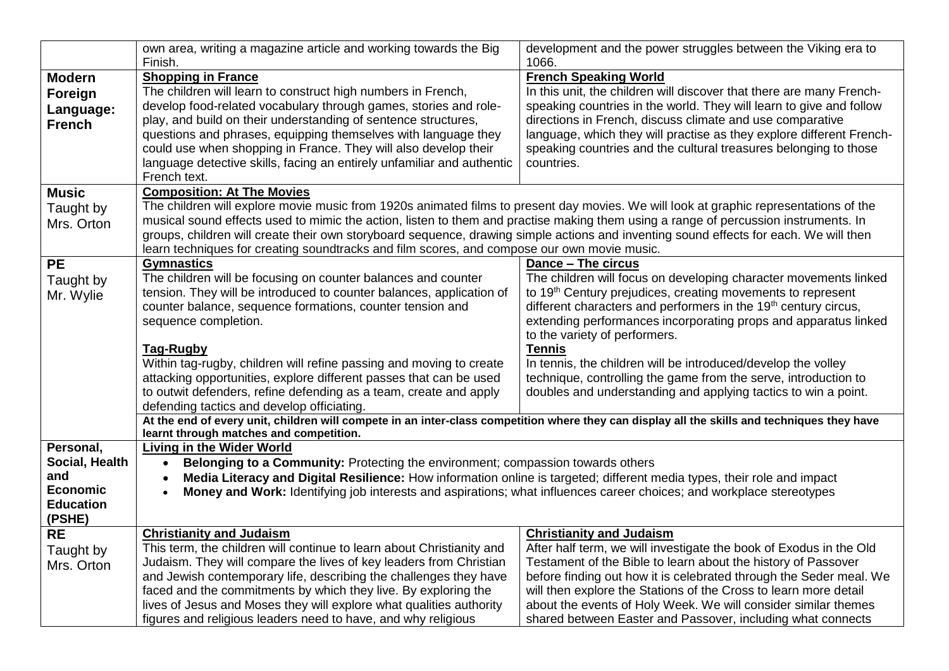|                                                                                     | own area, writing a magazine article and working towards the Big<br>Finish.                                                                                                                                                                                                                                                                                                                                                                                                                                                                                                                                                                                                                                             | development and the power struggles between the Viking era to<br>1066.                                                                                                                                                                                                                                                                                                                                                                                                                                                                                                      |
|-------------------------------------------------------------------------------------|-------------------------------------------------------------------------------------------------------------------------------------------------------------------------------------------------------------------------------------------------------------------------------------------------------------------------------------------------------------------------------------------------------------------------------------------------------------------------------------------------------------------------------------------------------------------------------------------------------------------------------------------------------------------------------------------------------------------------|-----------------------------------------------------------------------------------------------------------------------------------------------------------------------------------------------------------------------------------------------------------------------------------------------------------------------------------------------------------------------------------------------------------------------------------------------------------------------------------------------------------------------------------------------------------------------------|
| <b>Modern</b><br>Foreign<br>Language:<br><b>French</b>                              | <b>Shopping in France</b><br>The children will learn to construct high numbers in French,<br>develop food-related vocabulary through games, stories and role-<br>play, and build on their understanding of sentence structures,<br>questions and phrases, equipping themselves with language they<br>could use when shopping in France. They will also develop their<br>language detective skills, facing an entirely unfamiliar and authentic<br>French text.                                                                                                                                                                                                                                                          | <b>French Speaking World</b><br>In this unit, the children will discover that there are many French-<br>speaking countries in the world. They will learn to give and follow<br>directions in French, discuss climate and use comparative<br>language, which they will practise as they explore different French-<br>speaking countries and the cultural treasures belonging to those<br>countries.                                                                                                                                                                          |
| <b>Music</b><br>Taught by<br>Mrs. Orton                                             | <b>Composition: At The Movies</b><br>The children will explore movie music from 1920s animated films to present day movies. We will look at graphic representations of the<br>musical sound effects used to mimic the action, listen to them and practise making them using a range of percussion instruments. In<br>groups, children will create their own storyboard sequence, drawing simple actions and inventing sound effects for each. We will then<br>learn techniques for creating soundtracks and film scores, and compose our own movie music.                                                                                                                                                               |                                                                                                                                                                                                                                                                                                                                                                                                                                                                                                                                                                             |
| <b>PE</b><br>Taught by<br>Mr. Wylie                                                 | <b>Gymnastics</b><br>The children will be focusing on counter balances and counter<br>tension. They will be introduced to counter balances, application of<br>counter balance, sequence formations, counter tension and<br>sequence completion.<br>Tag-Rugby<br>Within tag-rugby, children will refine passing and moving to create<br>attacking opportunities, explore different passes that can be used<br>to outwit defenders, refine defending as a team, create and apply<br>defending tactics and develop officiating.<br>At the end of every unit, children will compete in an inter-class competition where they can display all the skills and techniques they have<br>learnt through matches and competition. | Dance - The circus<br>The children will focus on developing character movements linked<br>to 19 <sup>th</sup> Century prejudices, creating movements to represent<br>different characters and performers in the 19 <sup>th</sup> century circus,<br>extending performances incorporating props and apparatus linked<br>to the variety of performers.<br><b>Tennis</b><br>In tennis, the children will be introduced/develop the volley<br>technique, controlling the game from the serve, introduction to<br>doubles and understanding and applying tactics to win a point. |
| Personal,<br>Social, Health<br>and<br><b>Economic</b><br><b>Education</b><br>(PSHE) | <b>Living in the Wider World</b><br>Belonging to a Community: Protecting the environment; compassion towards others<br>Media Literacy and Digital Resilience: How information online is targeted; different media types, their role and impact<br>$\bullet$<br>Money and Work: Identifying job interests and aspirations; what influences career choices; and workplace stereotypes                                                                                                                                                                                                                                                                                                                                     |                                                                                                                                                                                                                                                                                                                                                                                                                                                                                                                                                                             |
| <b>RE</b><br>Taught by<br>Mrs. Orton                                                | <b>Christianity and Judaism</b><br>This term, the children will continue to learn about Christianity and<br>Judaism. They will compare the lives of key leaders from Christian<br>and Jewish contemporary life, describing the challenges they have<br>faced and the commitments by which they live. By exploring the<br>lives of Jesus and Moses they will explore what qualities authority<br>figures and religious leaders need to have, and why religious                                                                                                                                                                                                                                                           | <b>Christianity and Judaism</b><br>After half term, we will investigate the book of Exodus in the Old<br>Testament of the Bible to learn about the history of Passover<br>before finding out how it is celebrated through the Seder meal. We<br>will then explore the Stations of the Cross to learn more detail<br>about the events of Holy Week. We will consider similar themes<br>shared between Easter and Passover, including what connects                                                                                                                           |